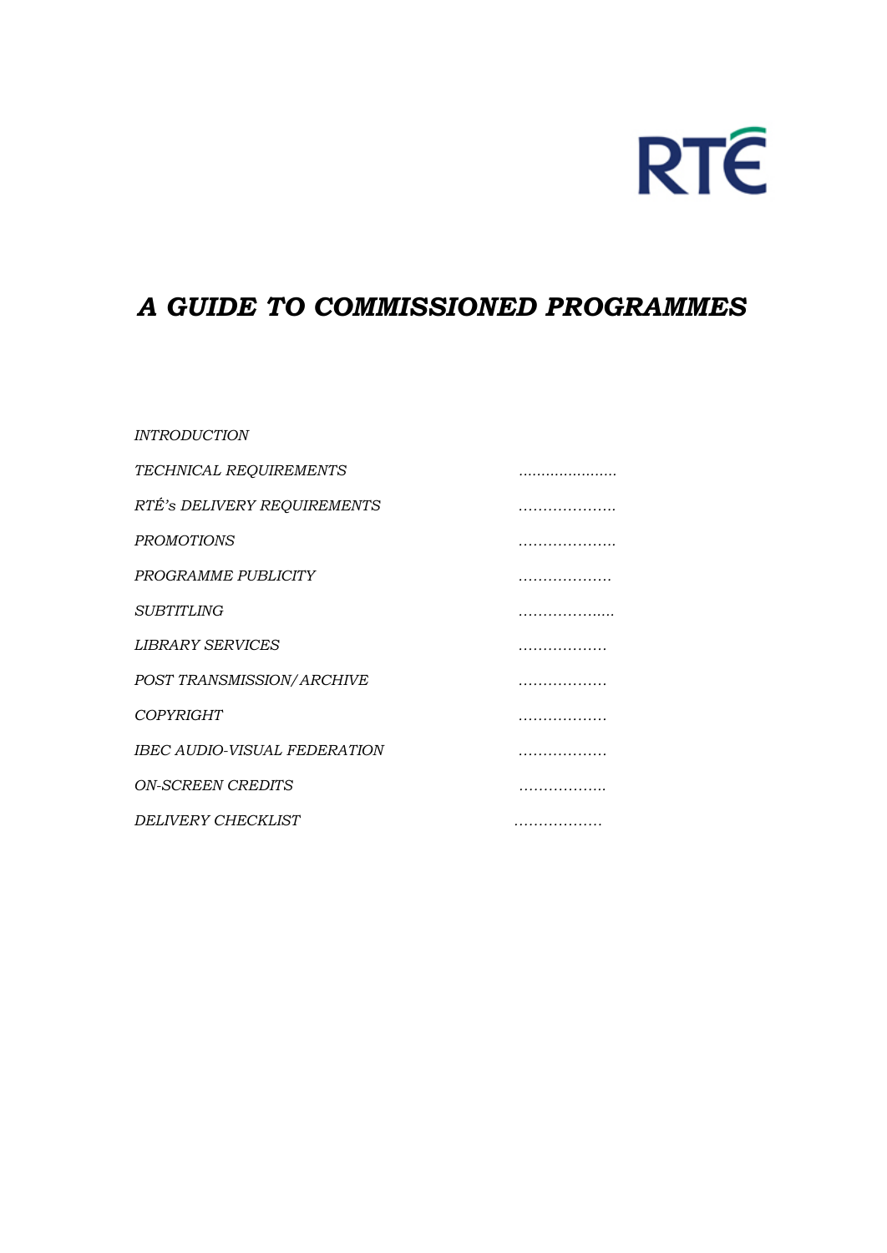

# *A GUIDE TO COMMISSIONED PROGRAMMES*

#### *INTRODUCTION*

| <b>TECHNICAL REQUIREMENTS</b>       | . |
|-------------------------------------|---|
| RTÉ'S DELIVERY REQUIREMENTS         | . |
| <b>PROMOTIONS</b>                   |   |
| PROGRAMME PUBLICITY                 |   |
| <b>SUBTITLING</b>                   |   |
| <b>LIBRARY SERVICES</b>             |   |
| POST TRANSMISSION/ARCHIVE           |   |
| <b>COPYRIGHT</b>                    |   |
| <b>IBEC AUDIO-VISUAL FEDERATION</b> |   |
| <i><b>ON-SCREEN CREDITS</b></i>     |   |
| DELIVERY CHECKLIST                  |   |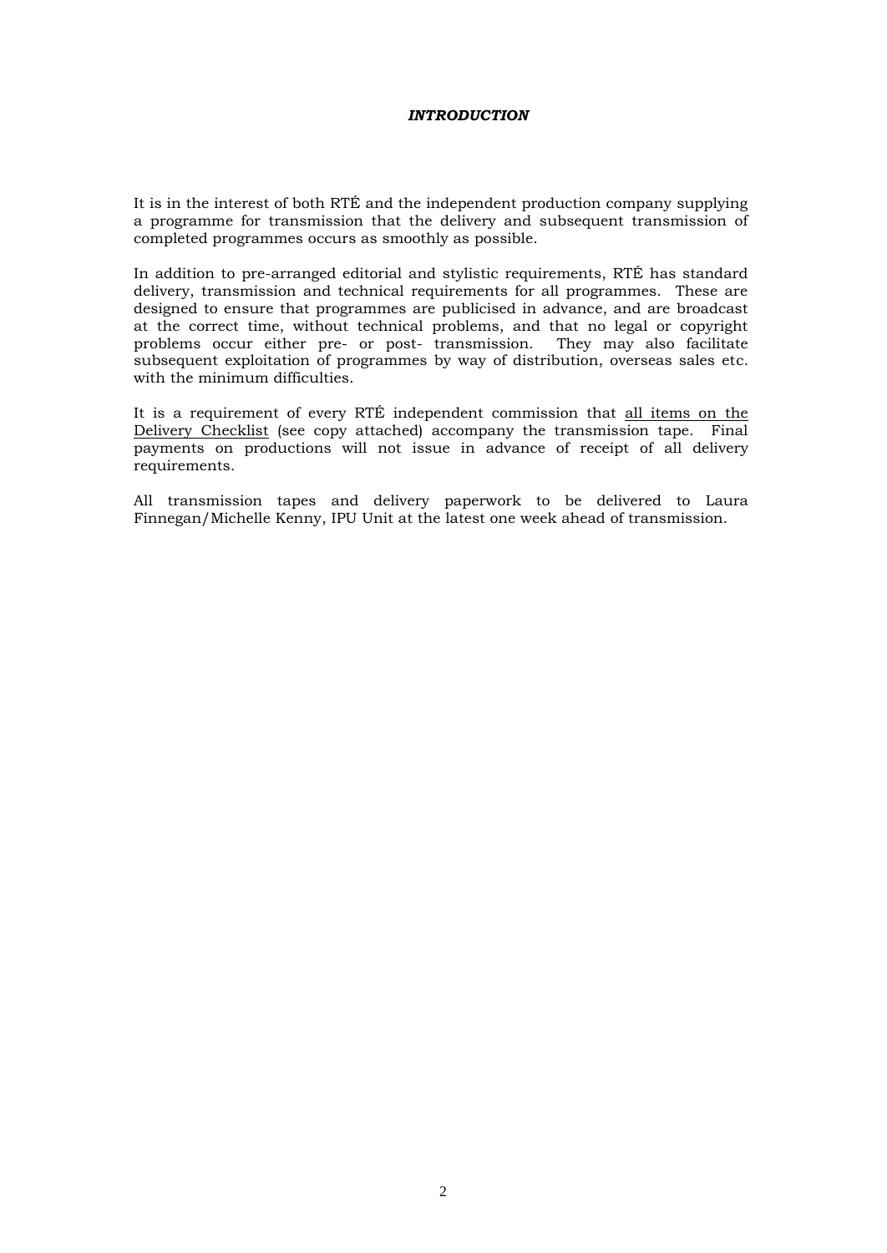#### *INTRODUCTION*

It is in the interest of both RTÉ and the independent production company supplying a programme for transmission that the delivery and subsequent transmission of completed programmes occurs as smoothly as possible.

In addition to pre-arranged editorial and stylistic requirements, RTÉ has standard delivery, transmission and technical requirements for all programmes. These are designed to ensure that programmes are publicised in advance, and are broadcast at the correct time, without technical problems, and that no legal or copyright problems occur either pre- or post- transmission. They may also facilitate subsequent exploitation of programmes by way of distribution, overseas sales etc. with the minimum difficulties.

It is a requirement of every RTÉ independent commission that all items on the Delivery Checklist (see copy attached) accompany the transmission tape. Final payments on productions will not issue in advance of receipt of all delivery requirements.

All transmission tapes and delivery paperwork to be delivered to Laura Finnegan/Michelle Kenny, IPU Unit at the latest one week ahead of transmission.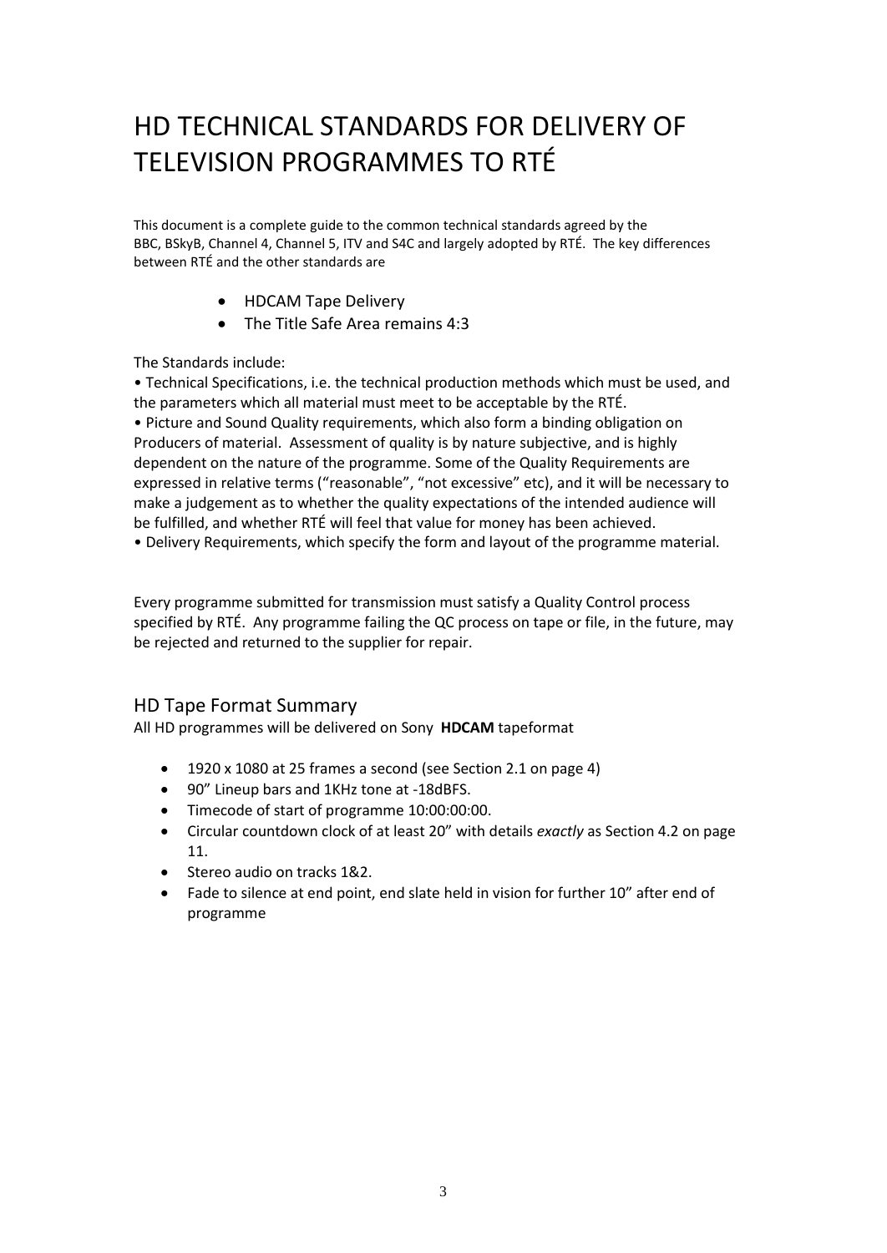# HD TECHNICAL STANDARDS FOR DELIVERY OF TELEVISION PROGRAMMES TO RTÉ

This document is a complete guide to the common technical standards agreed by the BBC, BSkyB, Channel 4, Channel 5, ITV and S4C and largely adopted by RTÉ. The key differences between RTÉ and the other standards are

- HDCAM Tape Delivery
- The Title Safe Area remains 4:3

The Standards include:

• Technical Specifications, i.e. the technical production methods which must be used, and the parameters which all material must meet to be acceptable by the RTÉ.

• Picture and Sound Quality requirements, which also form a binding obligation on Producers of material. Assessment of quality is by nature subjective, and is highly dependent on the nature of the programme. Some of the Quality Requirements are expressed in relative terms ("reasonable", "not excessive" etc), and it will be necessary to make a judgement as to whether the quality expectations of the intended audience will be fulfilled, and whether RTÉ will feel that value for money has been achieved.

• Delivery Requirements, which specify the form and layout of the programme material.

Every programme submitted for transmission must satisfy a Quality Control process specified by RTÉ. Any programme failing the QC process on tape or file, in the future, may be rejected and returned to the supplier for repair.

#### HD Tape Format Summary

All HD programmes will be delivered on Sony **HDCAM** tapeformat

- 1920 x 1080 at 25 frames a second (see Section 2.1 on page 4)
- 90" Lineup bars and 1KHz tone at -18dBFS.
- Timecode of start of programme 10:00:00:00.
- Circular countdown clock of at least 20" with details *exactly* as Section 4.2 on page 11.
- Stereo audio on tracks 1&2.
- Fade to silence at end point, end slate held in vision for further 10" after end of programme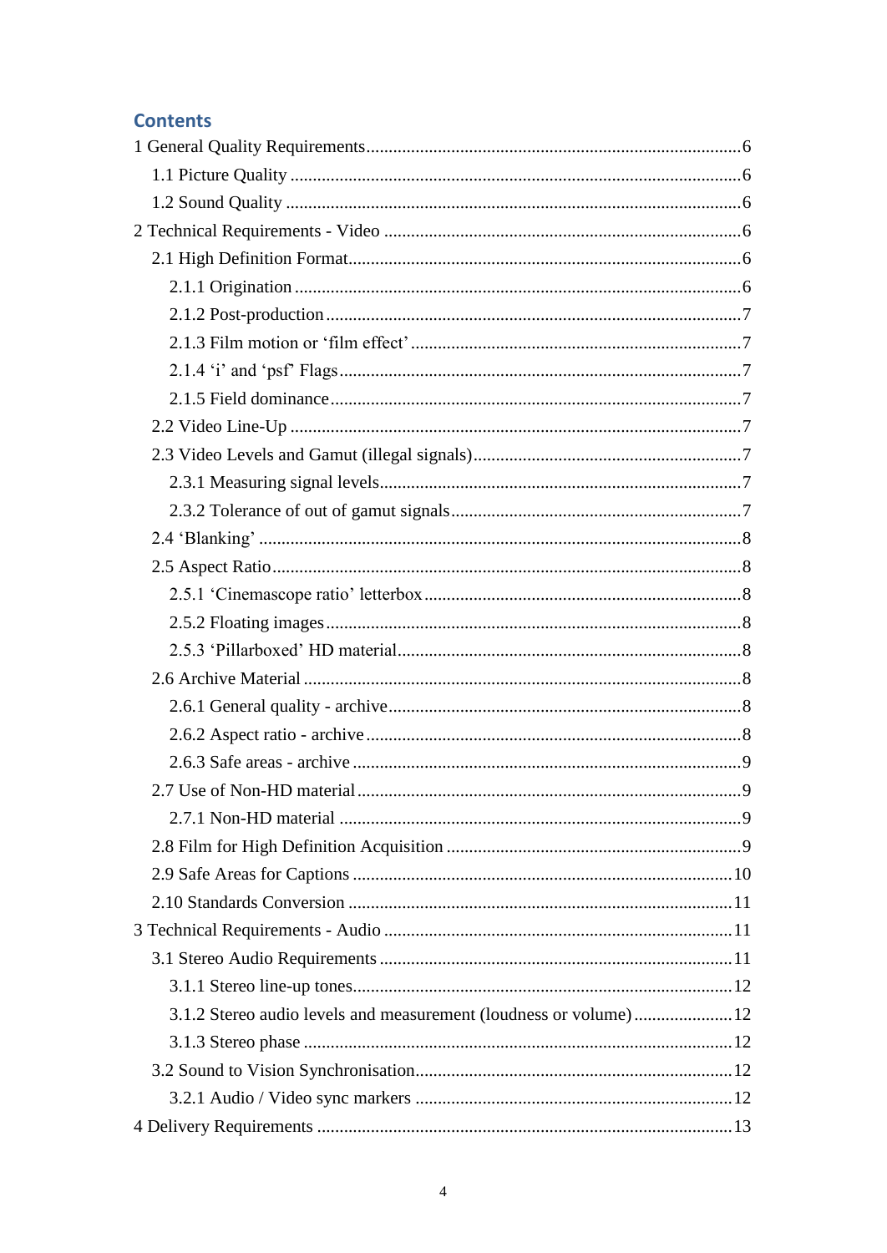## **Contents**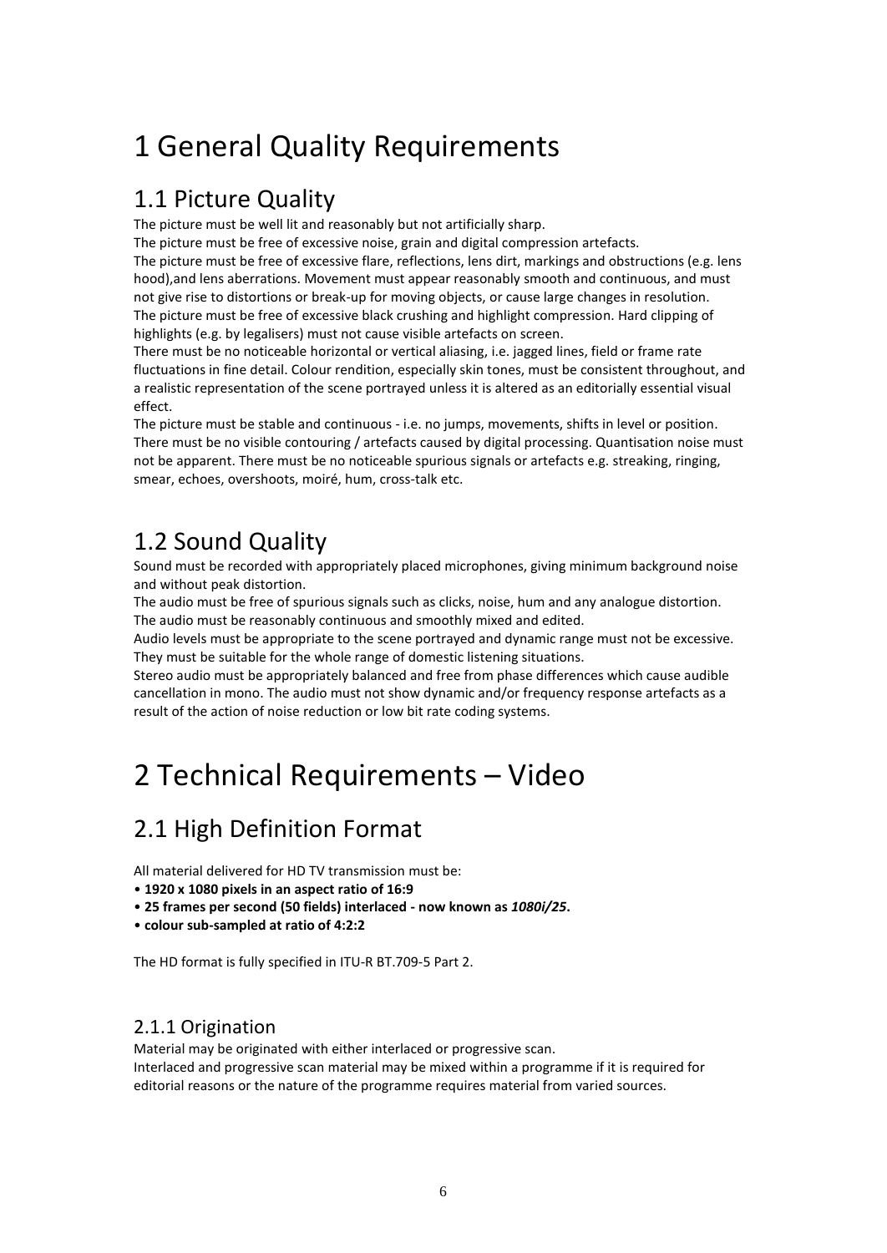# <span id="page-5-0"></span>1 General Quality Requirements

## <span id="page-5-1"></span>1.1 Picture Quality

The picture must be well lit and reasonably but not artificially sharp.

The picture must be free of excessive noise, grain and digital compression artefacts. The picture must be free of excessive flare, reflections, lens dirt, markings and obstructions (e.g. lens hood),and lens aberrations. Movement must appear reasonably smooth and continuous, and must not give rise to distortions or break-up for moving objects, or cause large changes in resolution. The picture must be free of excessive black crushing and highlight compression. Hard clipping of highlights (e.g. by legalisers) must not cause visible artefacts on screen.

There must be no noticeable horizontal or vertical aliasing, i.e. jagged lines, field or frame rate fluctuations in fine detail. Colour rendition, especially skin tones, must be consistent throughout, and a realistic representation of the scene portrayed unless it is altered as an editorially essential visual effect.

The picture must be stable and continuous - i.e. no jumps, movements, shifts in level or position. There must be no visible contouring / artefacts caused by digital processing. Quantisation noise must not be apparent. There must be no noticeable spurious signals or artefacts e.g. streaking, ringing, smear, echoes, overshoots, moiré, hum, cross-talk etc.

# <span id="page-5-2"></span>1.2 Sound Quality

Sound must be recorded with appropriately placed microphones, giving minimum background noise and without peak distortion.

The audio must be free of spurious signals such as clicks, noise, hum and any analogue distortion. The audio must be reasonably continuous and smoothly mixed and edited.

Audio levels must be appropriate to the scene portrayed and dynamic range must not be excessive. They must be suitable for the whole range of domestic listening situations.

Stereo audio must be appropriately balanced and free from phase differences which cause audible cancellation in mono. The audio must not show dynamic and/or frequency response artefacts as a result of the action of noise reduction or low bit rate coding systems.

# <span id="page-5-3"></span>2 Technical Requirements – Video

# <span id="page-5-4"></span>2.1 High Definition Format

All material delivered for HD TV transmission must be:

- **1920 x 1080 pixels in an aspect ratio of 16:9**
- **25 frames per second (50 fields) interlaced - now known as** *1080i/25***.**
- **colour sub-sampled at ratio of 4:2:2**

The HD format is fully specified in ITU-R BT.709-5 Part 2.

## <span id="page-5-5"></span>2.1.1 Origination

Material may be originated with either interlaced or progressive scan.

<span id="page-5-6"></span>Interlaced and progressive scan material may be mixed within a programme if it is required for editorial reasons or the nature of the programme requires material from varied sources.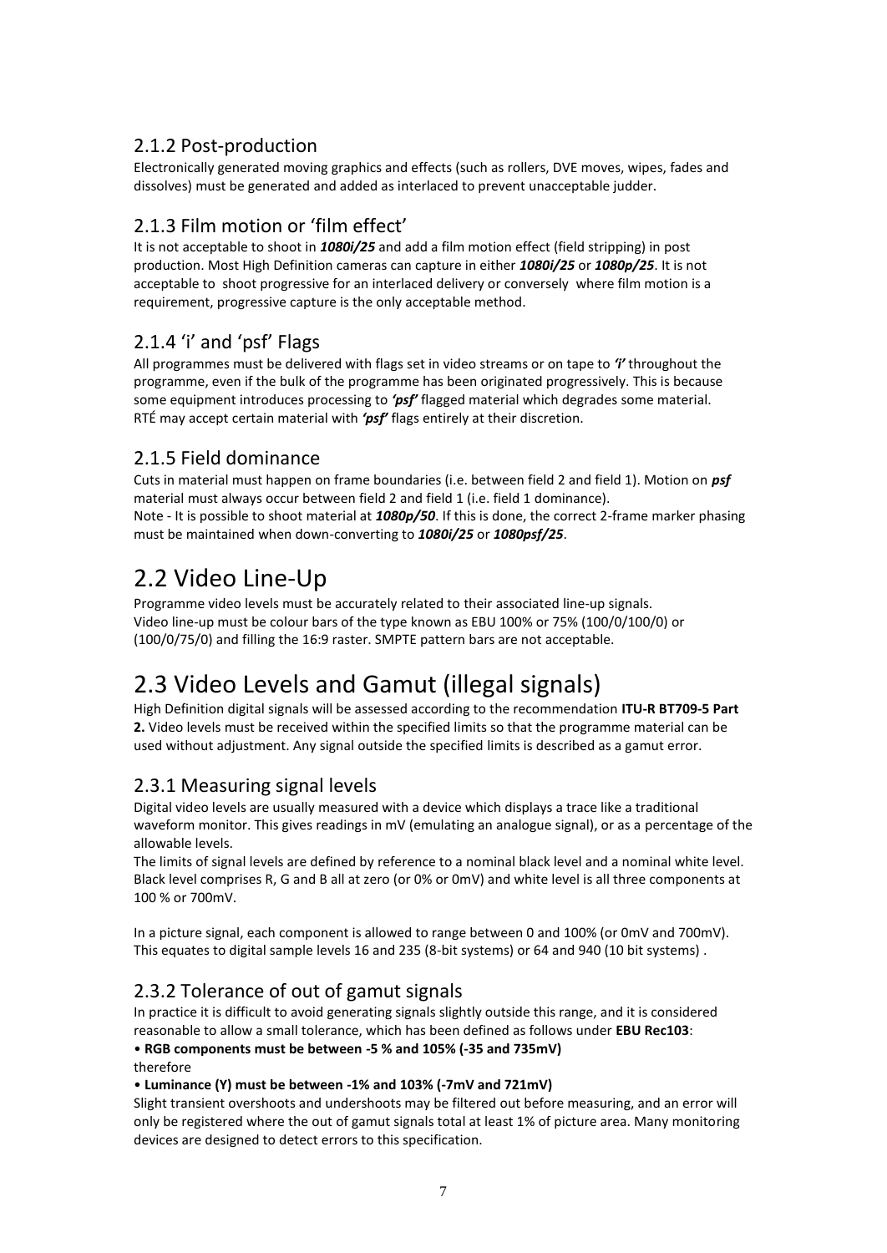## 2.1.2 Post-production

Electronically generated moving graphics and effects (such as rollers, DVE moves, wipes, fades and dissolves) must be generated and added as interlaced to prevent unacceptable judder.

## <span id="page-6-0"></span>2.1.3 Film motion or 'film effect'

It is not acceptable to shoot in *1080i/25* and add a film motion effect (field stripping) in post production. Most High Definition cameras can capture in either *1080i/25* or *1080p/25*. It is not acceptable to shoot progressive for an interlaced delivery or conversely where film motion is a requirement, progressive capture is the only acceptable method.

## <span id="page-6-1"></span>2.1.4 'i' and 'psf' Flags

All programmes must be delivered with flags set in video streams or on tape to *'i'* throughout the programme, even if the bulk of the programme has been originated progressively. This is because some equipment introduces processing to *'psf'* flagged material which degrades some material. RTÉ may accept certain material with *'psf'* flags entirely at their discretion.

## <span id="page-6-2"></span>2.1.5 Field dominance

Cuts in material must happen on frame boundaries (i.e. between field 2 and field 1). Motion on *psf* material must always occur between field 2 and field 1 (i.e. field 1 dominance). Note - It is possible to shoot material at *1080p/50*. If this is done, the correct 2-frame marker phasing must be maintained when down-converting to *1080i/25* or *1080psf/25*.

## <span id="page-6-3"></span>2.2 Video Line-Up

Programme video levels must be accurately related to their associated line-up signals. Video line-up must be colour bars of the type known as EBU 100% or 75% (100/0/100/0) or (100/0/75/0) and filling the 16:9 raster. SMPTE pattern bars are not acceptable.

# <span id="page-6-4"></span>2.3 Video Levels and Gamut (illegal signals)

High Definition digital signals will be assessed according to the recommendation **ITU-R BT709-5 Part 2.** Video levels must be received within the specified limits so that the programme material can be used without adjustment. Any signal outside the specified limits is described as a gamut error.

#### <span id="page-6-5"></span>2.3.1 Measuring signal levels

Digital video levels are usually measured with a device which displays a trace like a traditional waveform monitor. This gives readings in mV (emulating an analogue signal), or as a percentage of the allowable levels.

The limits of signal levels are defined by reference to a nominal black level and a nominal white level. Black level comprises R, G and B all at zero (or 0% or 0mV) and white level is all three components at 100 % or 700mV.

In a picture signal, each component is allowed to range between 0 and 100% (or 0mV and 700mV). This equates to digital sample levels 16 and 235 (8-bit systems) or 64 and 940 (10 bit systems) .

## <span id="page-6-6"></span>2.3.2 Tolerance of out of gamut signals

In practice it is difficult to avoid generating signals slightly outside this range, and it is considered reasonable to allow a small tolerance, which has been defined as follows under **EBU Rec103**:

• **RGB components must be between -5 % and 105% (-35 and 735mV)**

therefore

• **Luminance (Y) must be between -1% and 103% (-7mV and 721mV)**

Slight transient overshoots and undershoots may be filtered out before measuring, and an error will only be registered where the out of gamut signals total at least 1% of picture area. Many monitoring devices are designed to detect errors to this specification.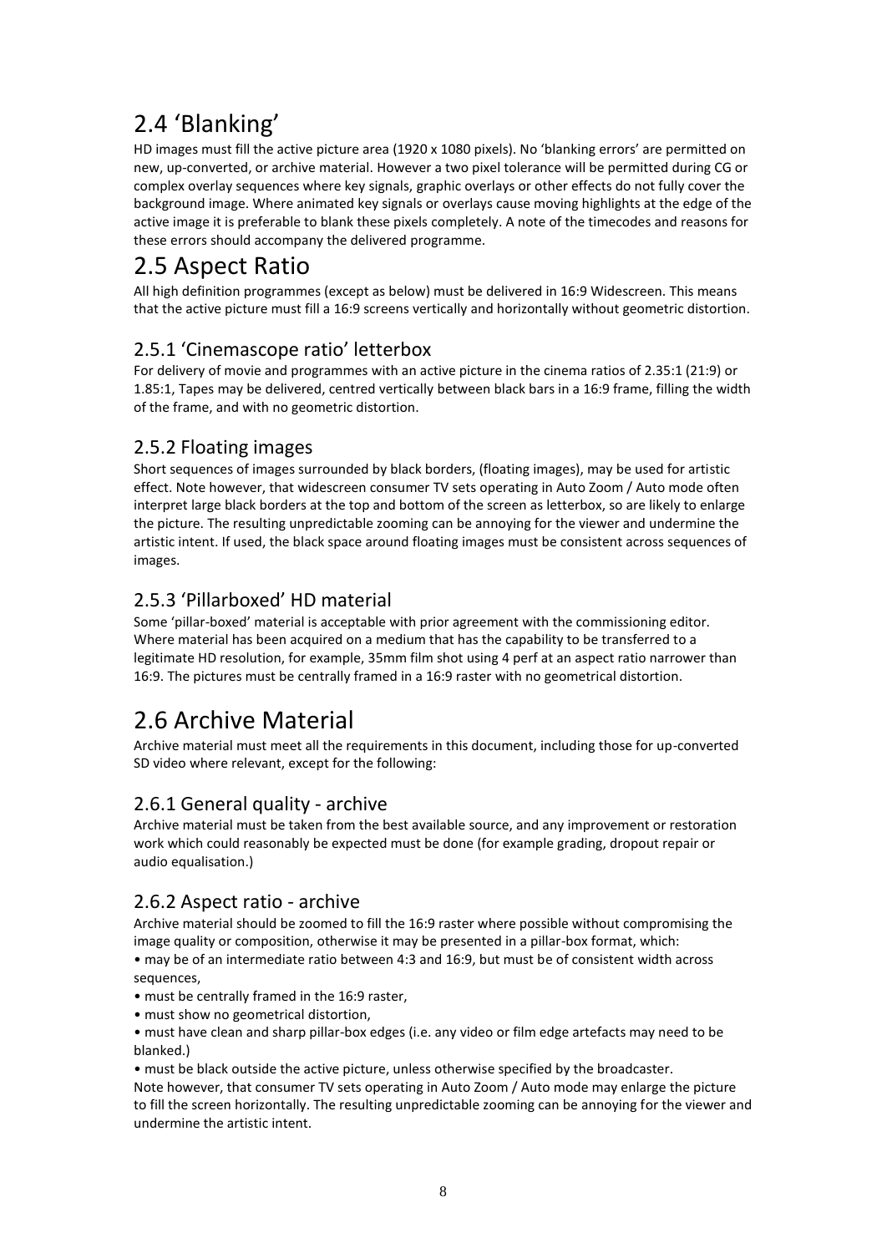# <span id="page-7-0"></span>2.4 'Blanking'

HD images must fill the active picture area (1920 x 1080 pixels). No 'blanking errors' are permitted on new, up-converted, or archive material. However a two pixel tolerance will be permitted during CG or complex overlay sequences where key signals, graphic overlays or other effects do not fully cover the background image. Where animated key signals or overlays cause moving highlights at the edge of the active image it is preferable to blank these pixels completely. A note of the timecodes and reasons for these errors should accompany the delivered programme.

# <span id="page-7-1"></span>2.5 Aspect Ratio

All high definition programmes (except as below) must be delivered in 16:9 Widescreen. This means that the active picture must fill a 16:9 screens vertically and horizontally without geometric distortion.

## <span id="page-7-2"></span>2.5.1 'Cinemascope ratio' letterbox

For delivery of movie and programmes with an active picture in the cinema ratios of 2.35:1 (21:9) or 1.85:1, Tapes may be delivered, centred vertically between black bars in a 16:9 frame, filling the width of the frame, and with no geometric distortion.

## <span id="page-7-3"></span>2.5.2 Floating images

Short sequences of images surrounded by black borders, (floating images), may be used for artistic effect. Note however, that widescreen consumer TV sets operating in Auto Zoom / Auto mode often interpret large black borders at the top and bottom of the screen as letterbox, so are likely to enlarge the picture. The resulting unpredictable zooming can be annoying for the viewer and undermine the artistic intent. If used, the black space around floating images must be consistent across sequences of images.

## <span id="page-7-4"></span>2.5.3 'Pillarboxed' HD material

Some 'pillar-boxed' material is acceptable with prior agreement with the commissioning editor. Where material has been acquired on a medium that has the capability to be transferred to a legitimate HD resolution, for example, 35mm film shot using 4 perf at an aspect ratio narrower than 16:9. The pictures must be centrally framed in a 16:9 raster with no geometrical distortion.

# <span id="page-7-5"></span>2.6 Archive Material

Archive material must meet all the requirements in this document, including those for up-converted SD video where relevant, except for the following:

## <span id="page-7-6"></span>2.6.1 General quality - archive

Archive material must be taken from the best available source, and any improvement or restoration work which could reasonably be expected must be done (for example grading, dropout repair or audio equalisation.)

## <span id="page-7-7"></span>2.6.2 Aspect ratio - archive

Archive material should be zoomed to fill the 16:9 raster where possible without compromising the image quality or composition, otherwise it may be presented in a pillar-box format, which:

• may be of an intermediate ratio between 4:3 and 16:9, but must be of consistent width across sequences,

- must be centrally framed in the 16:9 raster,
- must show no geometrical distortion,

• must have clean and sharp pillar-box edges (i.e. any video or film edge artefacts may need to be blanked.)

• must be black outside the active picture, unless otherwise specified by the broadcaster.

Note however, that consumer TV sets operating in Auto Zoom / Auto mode may enlarge the picture to fill the screen horizontally. The resulting unpredictable zooming can be annoying for the viewer and undermine the artistic intent.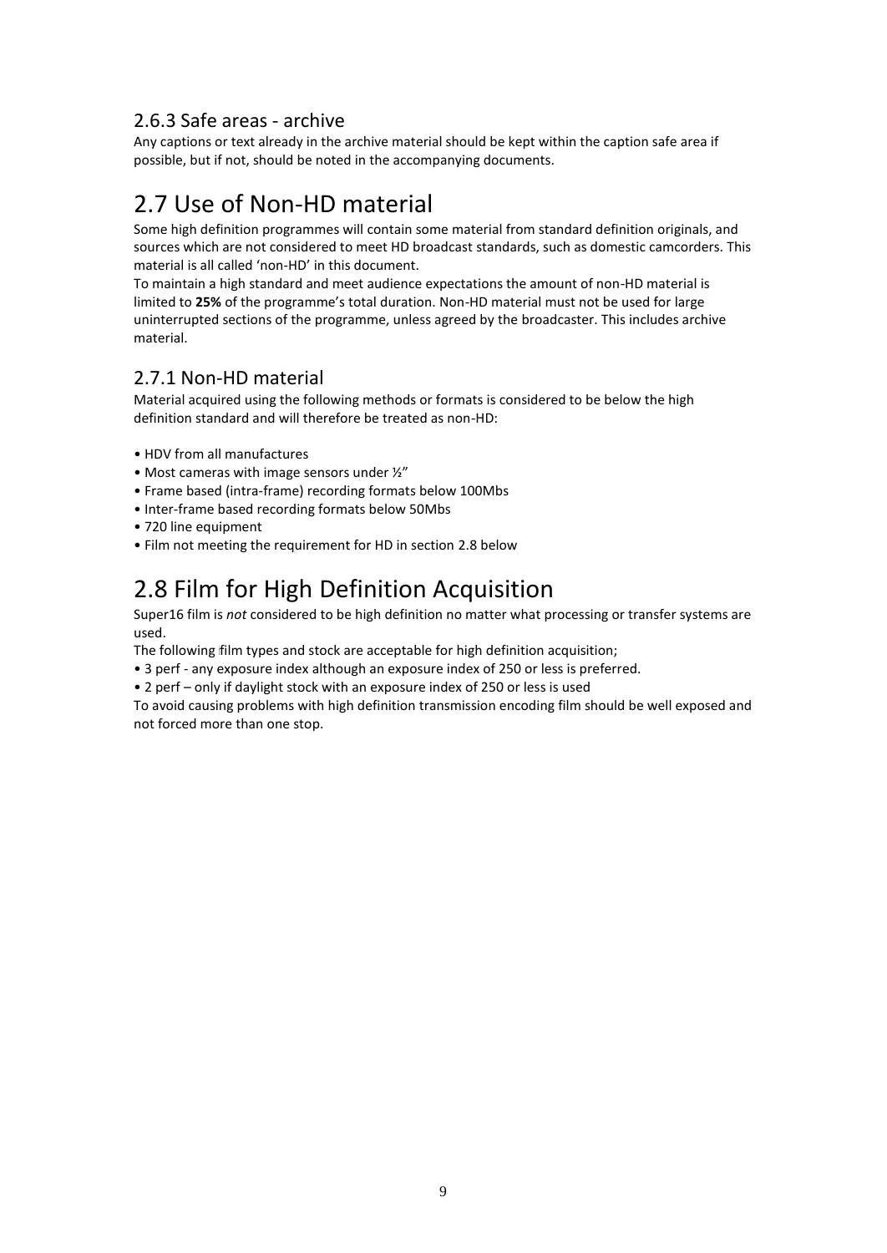#### <span id="page-8-0"></span>2.6.3 Safe areas - archive

Any captions or text already in the archive material should be kept within the caption safe area if possible, but if not, should be noted in the accompanying documents.

# <span id="page-8-1"></span>2.7 Use of Non-HD material

Some high definition programmes will contain some material from standard definition originals, and sources which are not considered to meet HD broadcast standards, such as domestic camcorders. This material is all called 'non-HD' in this document.

To maintain a high standard and meet audience expectations the amount of non-HD material is limited to **25%** of the programme's total duration. Non-HD material must not be used for large uninterrupted sections of the programme, unless agreed by the broadcaster. This includes archive material.

## <span id="page-8-2"></span>2.7.1 Non-HD material

Material acquired using the following methods or formats is considered to be below the high definition standard and will therefore be treated as non-HD:

- HDV from all manufactures
- Most cameras with image sensors under ½"
- Frame based (intra-frame) recording formats below 100Mbs
- Inter-frame based recording formats below 50Mbs
- 720 line equipment
- Film not meeting the requirement for HD in section 2.8 below

# <span id="page-8-3"></span>2.8 Film for High Definition Acquisition

Super16 film is *not* considered to be high definition no matter what processing or transfer systems are used.

The following film types and stock are acceptable for high definition acquisition;

• 3 perf - any exposure index although an exposure index of 250 or less is preferred.

• 2 perf – only if daylight stock with an exposure index of 250 or less is used

To avoid causing problems with high definition transmission encoding film should be well exposed and not forced more than one stop.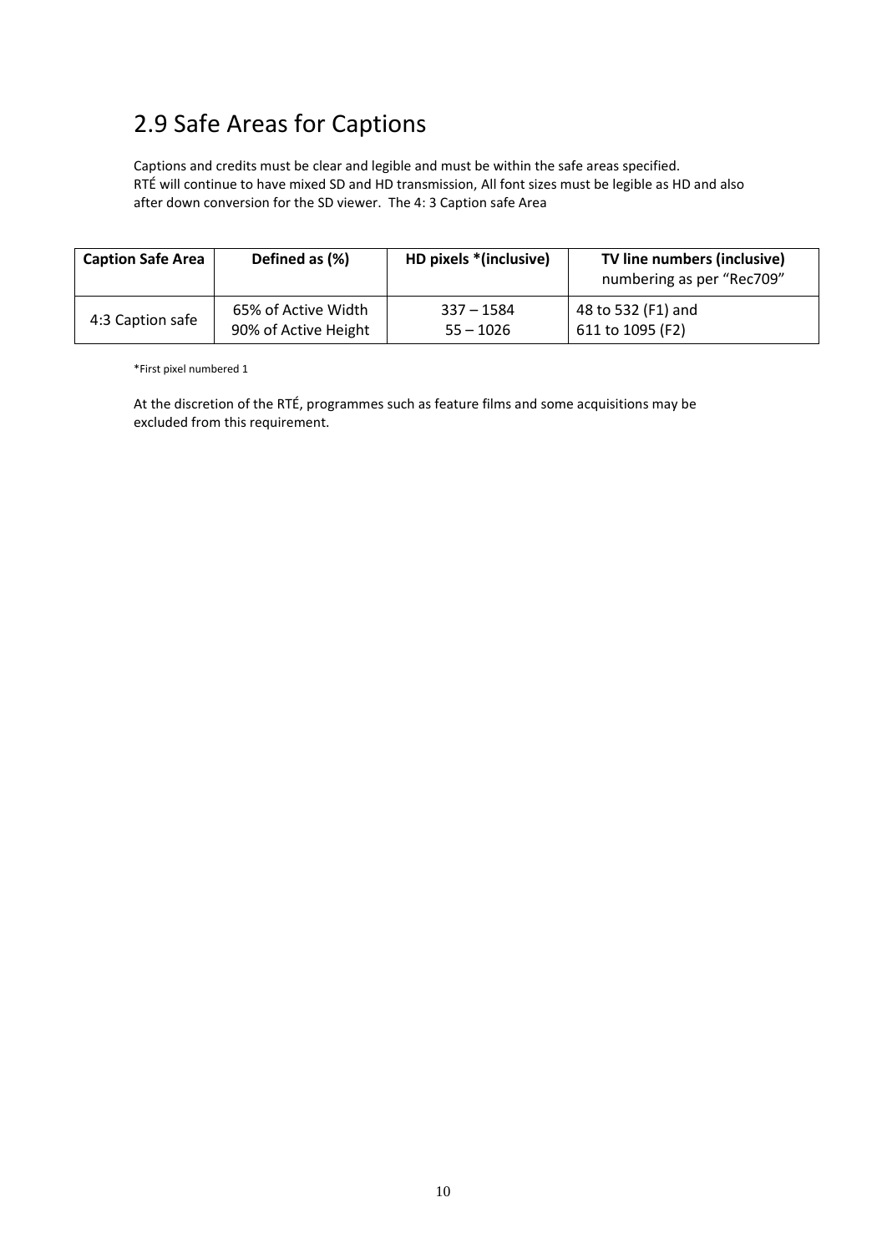# <span id="page-9-0"></span>2.9 Safe Areas for Captions

Captions and credits must be clear and legible and must be within the safe areas specified. RTÉ will continue to have mixed SD and HD transmission, All font sizes must be legible as HD and also after down conversion for the SD viewer. The 4: 3 Caption safe Area

| <b>Caption Safe Area</b> | Defined as (%)       | HD pixels *(inclusive) | TV line numbers (inclusive)<br>numbering as per "Rec709" |  |
|--------------------------|----------------------|------------------------|----------------------------------------------------------|--|
| 4:3 Caption safe         | 65% of Active Width  | $337 - 1584$           | 48 to 532 (F1) and                                       |  |
|                          | 90% of Active Height | $55 - 1026$            | 611 to 1095 (F2)                                         |  |

\*First pixel numbered 1

At the discretion of the RTÉ, programmes such as feature films and some acquisitions may be excluded from this requirement.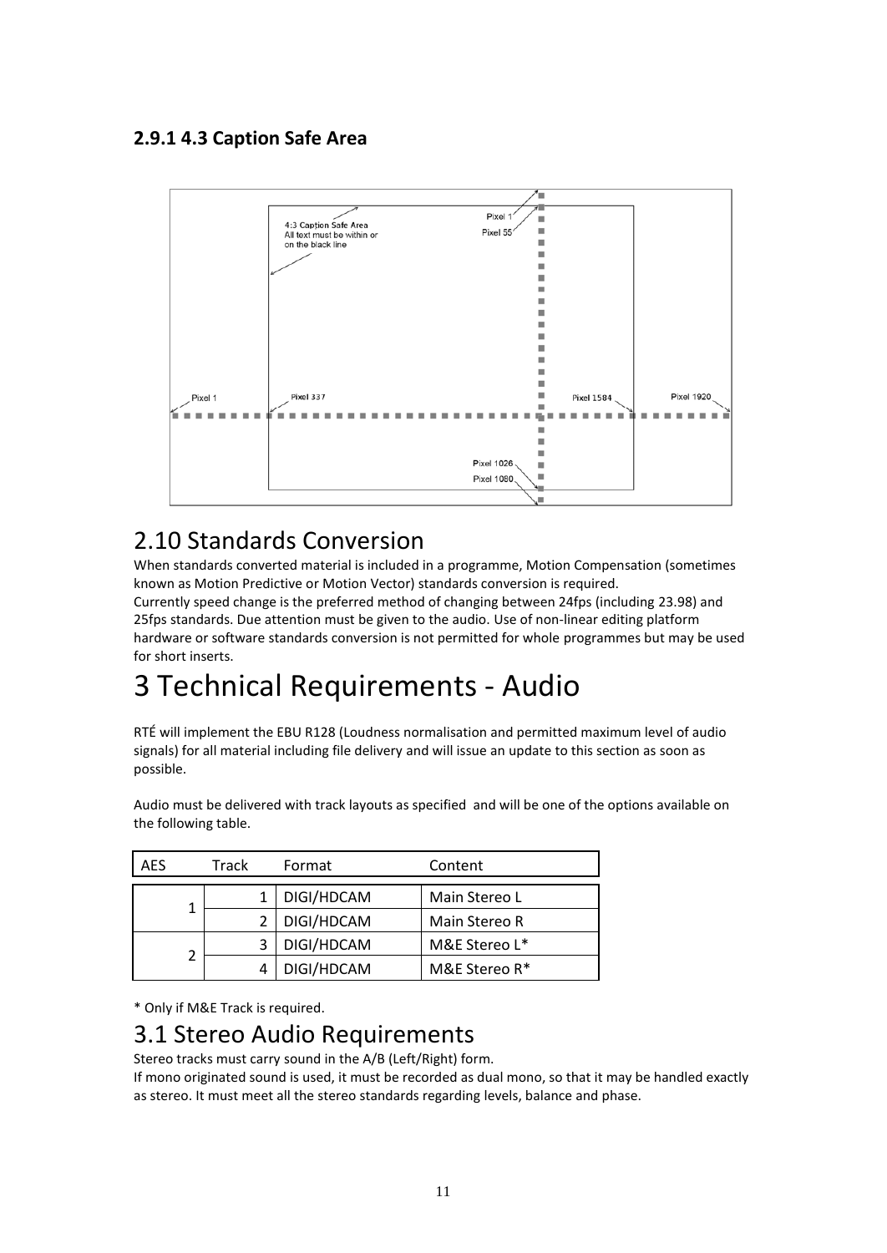## **2.9.1 4.3 Caption Safe Area**



# <span id="page-10-0"></span>2.10 Standards Conversion

When standards converted material is included in a programme, Motion Compensation (sometimes known as Motion Predictive or Motion Vector) standards conversion is required. Currently speed change is the preferred method of changing between 24fps (including 23.98) and 25fps standards. Due attention must be given to the audio. Use of non-linear editing platform hardware or software standards conversion is not permitted for whole programmes but may be used for short inserts.

# <span id="page-10-1"></span>3 Technical Requirements - Audio

RTÉ will implement the EBU R128 (Loudness normalisation and permitted maximum level of audio signals) for all material including file delivery and will issue an update to this section as soon as possible.

| <b>AES</b><br>Track |            | Format        | Content       |
|---------------------|------------|---------------|---------------|
|                     |            | DIGI/HDCAM    | Main Stereo L |
|                     | DIGI/HDCAM | Main Stereo R |               |
|                     |            | DIGI/HDCAM    | M&E Stereo L* |
| 2                   |            | DIGI/HDCAM    | M&E Stereo R* |

Audio must be delivered with track layouts as specified and will be one of the options available on the following table.

\* Only if M&E Track is required.

## <span id="page-10-2"></span>3.1 Stereo Audio Requirements

Stereo tracks must carry sound in the A/B (Left/Right) form.

If mono originated sound is used, it must be recorded as dual mono, so that it may be handled exactly as stereo. It must meet all the stereo standards regarding levels, balance and phase.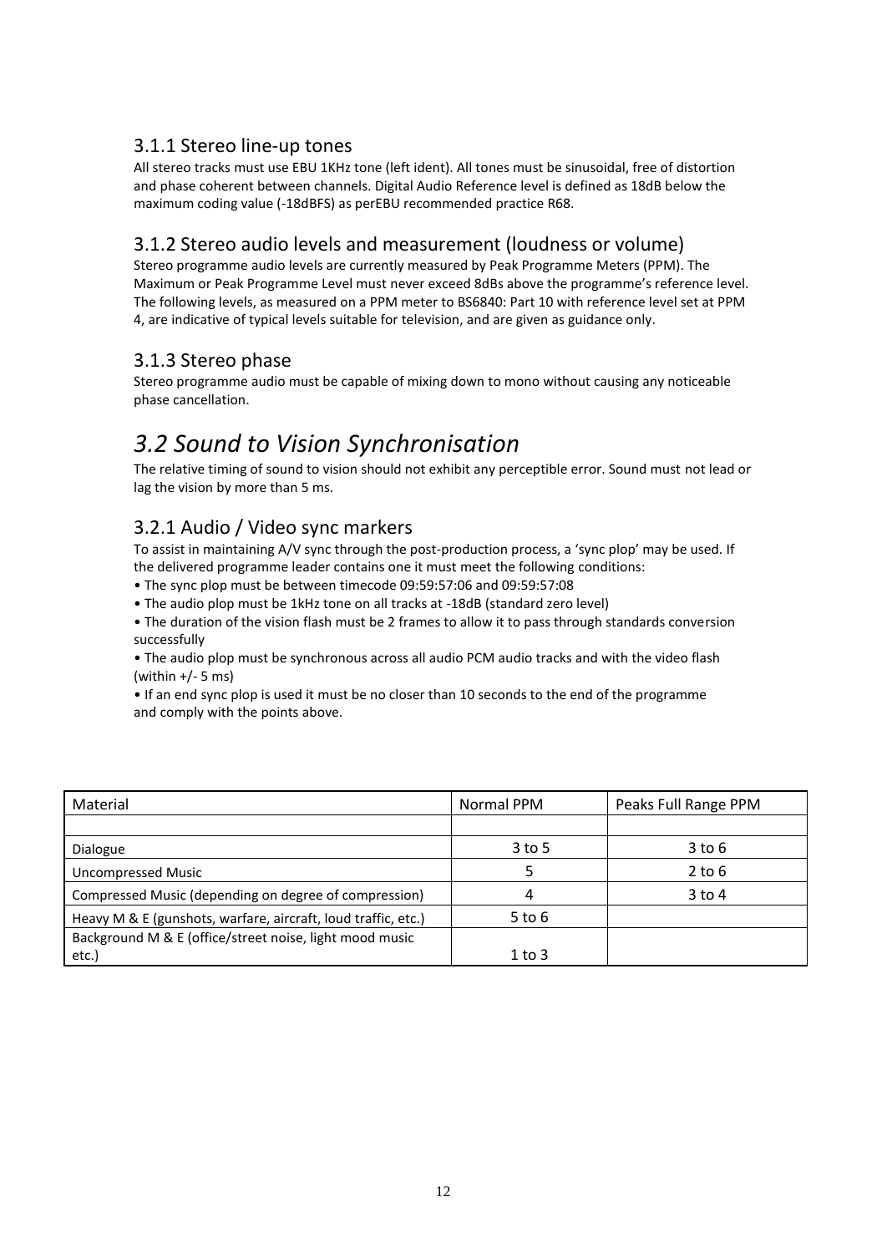## <span id="page-11-0"></span>3.1.1 Stereo line-up tones

All stereo tracks must use EBU 1KHz tone (left ident). All tones must be sinusoidal, free of distortion and phase coherent between channels. Digital Audio Reference level is defined as 18dB below the maximum coding value (-18dBFS) as perEBU recommended practice R68.

#### <span id="page-11-1"></span>3.1.2 Stereo audio levels and measurement (loudness or volume)

Stereo programme audio levels are currently measured by Peak Programme Meters (PPM). The Maximum or Peak Programme Level must never exceed 8dBs above the programme's reference level. The following levels, as measured on a PPM meter to BS6840: Part 10 with reference level set at PPM 4, are indicative of typical levels suitable for television, and are given as guidance only.

#### <span id="page-11-2"></span>3.1.3 Stereo phase

Stereo programme audio must be capable of mixing down to mono without causing any noticeable phase cancellation.

# <span id="page-11-3"></span>*3.2 Sound to Vision Synchronisation*

The relative timing of sound to vision should not exhibit any perceptible error. Sound must not lead or lag the vision by more than 5 ms.

## <span id="page-11-4"></span>3.2.1 Audio / Video sync markers

To assist in maintaining A/V sync through the post-production process, a 'sync plop' may be used. If the delivered programme leader contains one it must meet the following conditions:

• The sync plop must be between timecode 09:59:57:06 and 09:59:57:08

• The audio plop must be 1kHz tone on all tracks at -18dB (standard zero level)

• The duration of the vision flash must be 2 frames to allow it to pass through standards conversion successfully

• The audio plop must be synchronous across all audio PCM audio tracks and with the video flash (within  $+/-$  5 ms)

• If an end sync plop is used it must be no closer than 10 seconds to the end of the programme and comply with the points above.

| Material                                                      | Normal PPM | Peaks Full Range PPM |
|---------------------------------------------------------------|------------|----------------------|
|                                                               |            |                      |
| Dialogue                                                      | $3$ to 5   | $3$ to $6$           |
| <b>Uncompressed Music</b>                                     |            | $2$ to $6$           |
| Compressed Music (depending on degree of compression)         | 4          | $3$ to 4             |
| Heavy M & E (gunshots, warfare, aircraft, loud traffic, etc.) | $5$ to $6$ |                      |
| Background M & E (office/street noise, light mood music       |            |                      |
| etc.)                                                         | $1$ to $3$ |                      |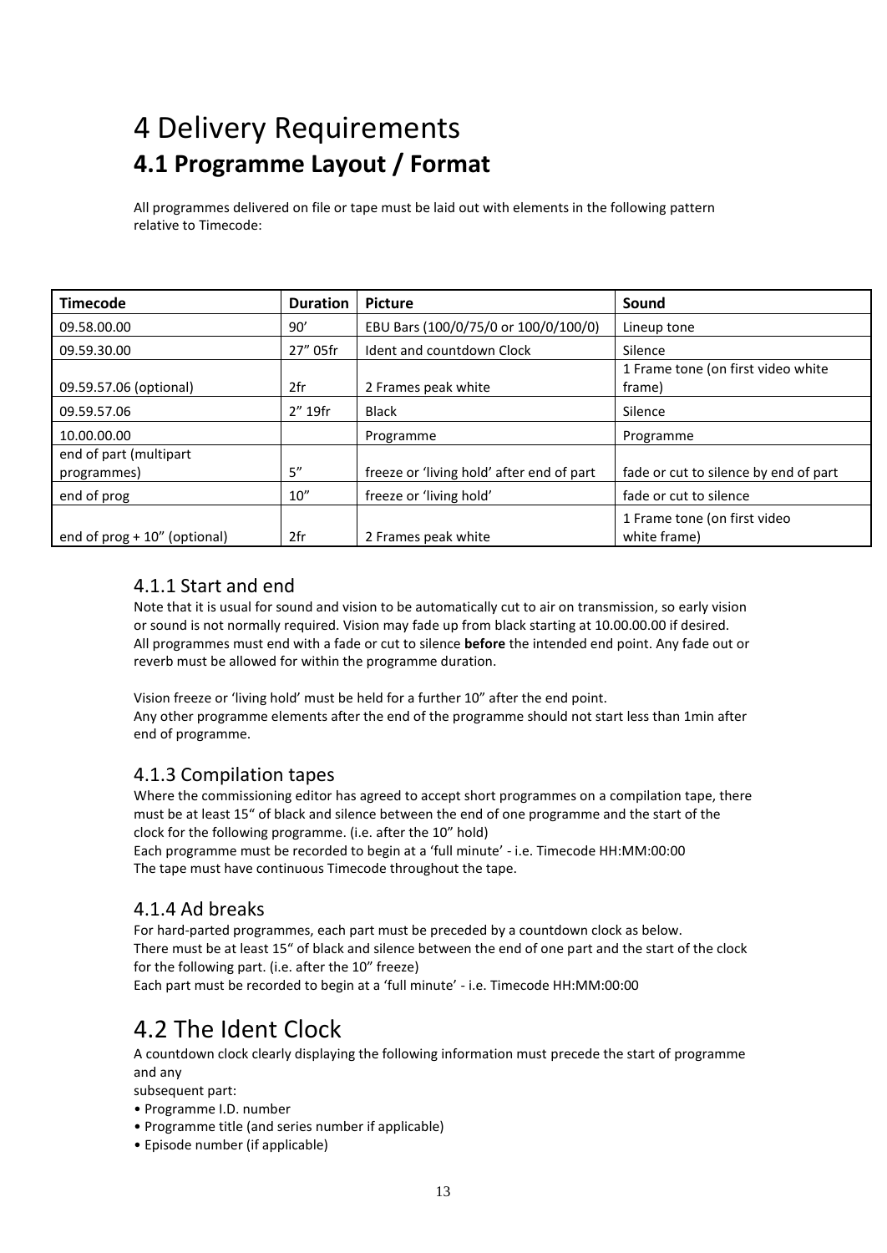# <span id="page-12-0"></span>4 Delivery Requirements **4.1 Programme Layout / Format**

All programmes delivered on file or tape must be laid out with elements in the following pattern relative to Timecode:

| <b>Timecode</b>                       | <b>Duration</b> | <b>Picture</b>                            | Sound                                        |
|---------------------------------------|-----------------|-------------------------------------------|----------------------------------------------|
| 09.58.00.00                           | 90'             | EBU Bars (100/0/75/0 or 100/0/100/0)      | Lineup tone                                  |
| 09.59.30.00                           | 27" 05fr        | Ident and countdown Clock                 | Silence                                      |
| 09.59.57.06 (optional)                | 2fr             | 2 Frames peak white                       | 1 Frame tone (on first video white<br>frame) |
| 09.59.57.06                           | $2''$ 19fr      | <b>Black</b>                              | Silence                                      |
| 10.00.00.00                           |                 | Programme                                 | Programme                                    |
| end of part (multipart<br>programmes) | 5''             | freeze or 'living hold' after end of part | fade or cut to silence by end of part        |
| end of prog                           | 10''            | freeze or 'living hold'                   | fade or cut to silence                       |
| end of $prog + 10"$ (optional)        | 2fr             | 2 Frames peak white                       | 1 Frame tone (on first video<br>white frame) |

#### <span id="page-12-1"></span>4.1.1 Start and end

Note that it is usual for sound and vision to be automatically cut to air on transmission, so early vision or sound is not normally required. Vision may fade up from black starting at 10.00.00.00 if desired. All programmes must end with a fade or cut to silence **before** the intended end point. Any fade out or reverb must be allowed for within the programme duration.

Vision freeze or 'living hold' must be held for a further 10" after the end point. Any other programme elements after the end of the programme should not start less than 1min after end of programme.

#### <span id="page-12-2"></span>4.1.3 Compilation tapes

Where the commissioning editor has agreed to accept short programmes on a compilation tape, there must be at least 15" of black and silence between the end of one programme and the start of the clock for the following programme. (i.e. after the 10" hold)

Each programme must be recorded to begin at a 'full minute' - i.e. Timecode HH:MM:00:00 The tape must have continuous Timecode throughout the tape.

#### <span id="page-12-3"></span>4.1.4 Ad breaks

For hard-parted programmes, each part must be preceded by a countdown clock as below. There must be at least 15" of black and silence between the end of one part and the start of the clock for the following part. (i.e. after the 10" freeze)

Each part must be recorded to begin at a 'full minute' - i.e. Timecode HH:MM:00:00

## <span id="page-12-4"></span>4.2 The Ident Clock

A countdown clock clearly displaying the following information must precede the start of programme and any

subsequent part:

- Programme I.D. number
- Programme title (and series number if applicable)
- Episode number (if applicable)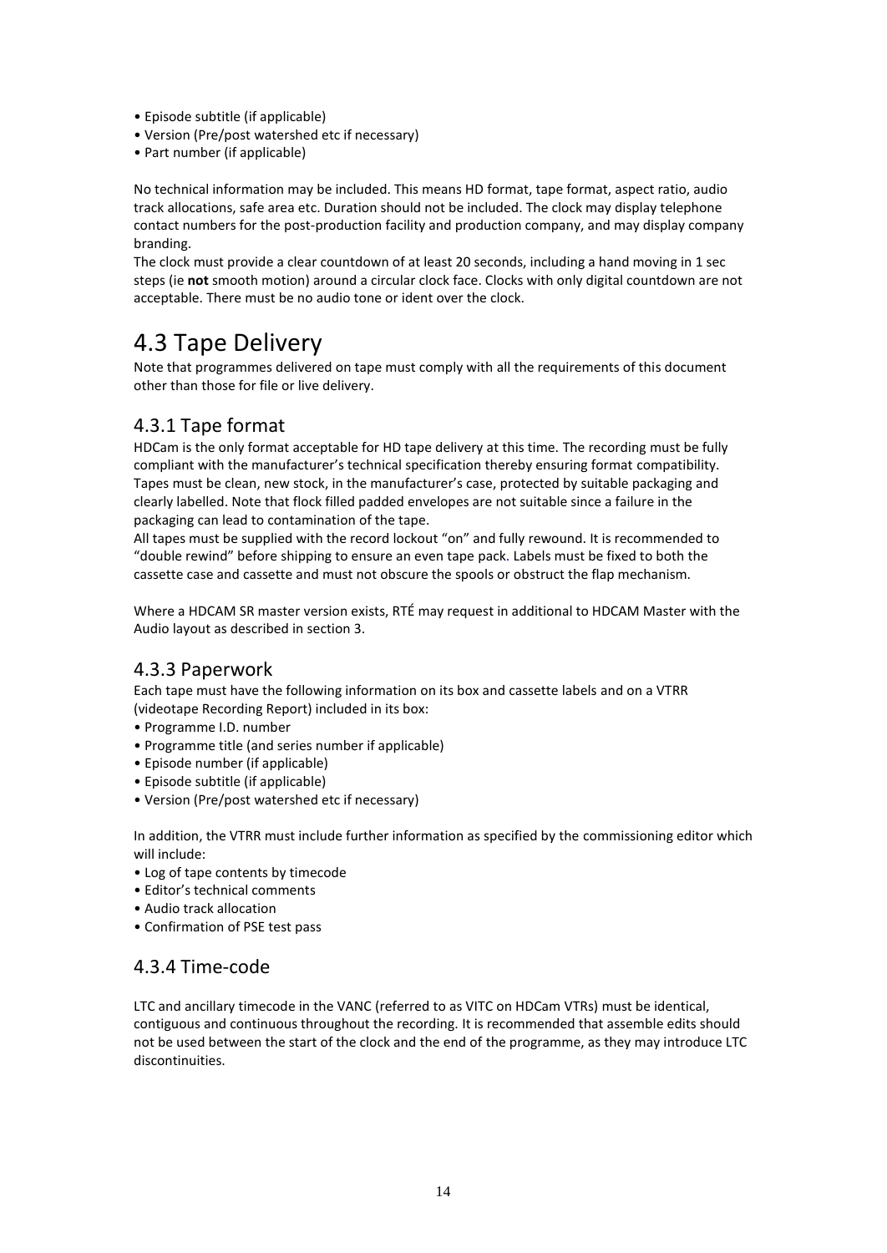- Episode subtitle (if applicable)
- Version (Pre/post watershed etc if necessary)
- Part number (if applicable)

No technical information may be included. This means HD format, tape format, aspect ratio, audio track allocations, safe area etc. Duration should not be included. The clock may display telephone contact numbers for the post-production facility and production company, and may display company branding.

The clock must provide a clear countdown of at least 20 seconds, including a hand moving in 1 sec steps (ie **not** smooth motion) around a circular clock face. Clocks with only digital countdown are not acceptable. There must be no audio tone or ident over the clock.

## <span id="page-13-0"></span>4.3 Tape Delivery

Note that programmes delivered on tape must comply with all the requirements of this document other than those for file or live delivery.

## <span id="page-13-1"></span>4.3.1 Tape format

HDCam is the only format acceptable for HD tape delivery at this time. The recording must be fully compliant with the manufacturer's technical specification thereby ensuring format compatibility. Tapes must be clean, new stock, in the manufacturer's case, protected by suitable packaging and clearly labelled. Note that flock filled padded envelopes are not suitable since a failure in the packaging can lead to contamination of the tape.

All tapes must be supplied with the record lockout "on" and fully rewound. It is recommended to "double rewind" before shipping to ensure an even tape pack. Labels must be fixed to both the cassette case and cassette and must not obscure the spools or obstruct the flap mechanism.

Where a HDCAM SR master version exists, RTÉ may request in additional to HDCAM Master with the Audio layout as described in section 3.

#### <span id="page-13-2"></span>4.3.3 Paperwork

Each tape must have the following information on its box and cassette labels and on a VTRR (videotape Recording Report) included in its box:

- Programme I.D. number
- Programme title (and series number if applicable)
- Episode number (if applicable)
- Episode subtitle (if applicable)
- Version (Pre/post watershed etc if necessary)

In addition, the VTRR must include further information as specified by the commissioning editor which will include:

- Log of tape contents by timecode
- Editor's technical comments
- Audio track allocation
- Confirmation of PSE test pass

#### <span id="page-13-3"></span>4.3.4 Time-code

LTC and ancillary timecode in the VANC (referred to as VITC on HDCam VTRs) must be identical, contiguous and continuous throughout the recording. It is recommended that assemble edits should not be used between the start of the clock and the end of the programme, as they may introduce LTC discontinuities.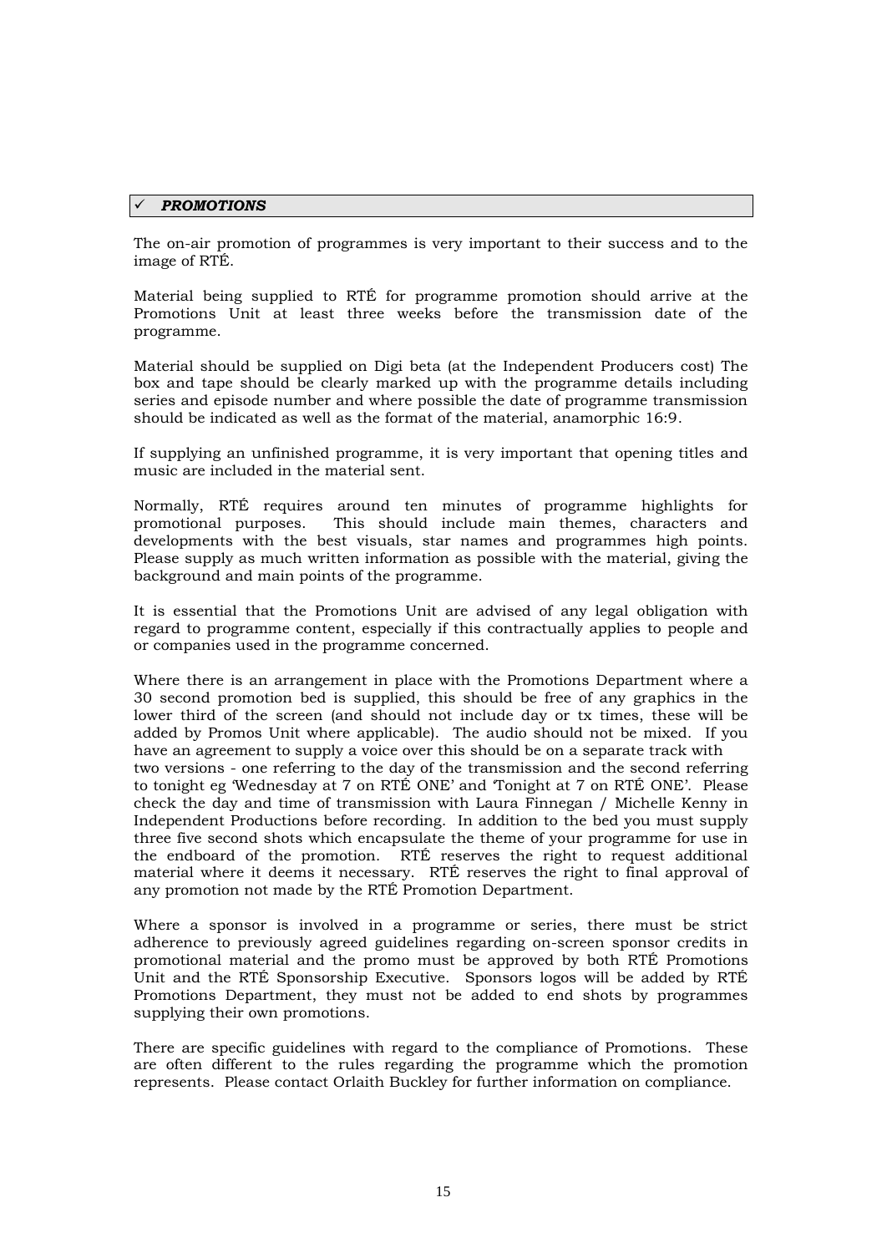#### *PROMOTIONS*

The on-air promotion of programmes is very important to their success and to the image of RTÉ.

Material being supplied to RTÉ for programme promotion should arrive at the Promotions Unit at least three weeks before the transmission date of the programme.

Material should be supplied on Digi beta (at the Independent Producers cost) The box and tape should be clearly marked up with the programme details including series and episode number and where possible the date of programme transmission should be indicated as well as the format of the material, anamorphic 16:9.

If supplying an unfinished programme, it is very important that opening titles and music are included in the material sent.

Normally, RTÉ requires around ten minutes of programme highlights for promotional purposes. This should include main themes, characters and developments with the best visuals, star names and programmes high points. Please supply as much written information as possible with the material, giving the background and main points of the programme.

It is essential that the Promotions Unit are advised of any legal obligation with regard to programme content, especially if this contractually applies to people and or companies used in the programme concerned.

Where there is an arrangement in place with the Promotions Department where a 30 second promotion bed is supplied, this should be free of any graphics in the lower third of the screen (and should not include day or tx times, these will be added by Promos Unit where applicable). The audio should not be mixed. If you have an agreement to supply a voice over this should be on a separate track with two versions - one referring to the day of the transmission and the second referring to tonight eg 'Wednesday at 7 on RTÉ ONE' and 'Tonight at 7 on RTÉ ONE'. Please check the day and time of transmission with Laura Finnegan / Michelle Kenny in Independent Productions before recording. In addition to the bed you must supply three five second shots which encapsulate the theme of your programme for use in the endboard of the promotion. RTÉ reserves the right to request additional material where it deems it necessary. RTÉ reserves the right to final approval of any promotion not made by the RTÉ Promotion Department.

Where a sponsor is involved in a programme or series, there must be strict adherence to previously agreed guidelines regarding on-screen sponsor credits in promotional material and the promo must be approved by both RTÉ Promotions Unit and the RTÉ Sponsorship Executive. Sponsors logos will be added by RTÉ Promotions Department, they must not be added to end shots by programmes supplying their own promotions.

There are specific guidelines with regard to the compliance of Promotions. These are often different to the rules regarding the programme which the promotion represents. Please contact Orlaith Buckley for further information on compliance.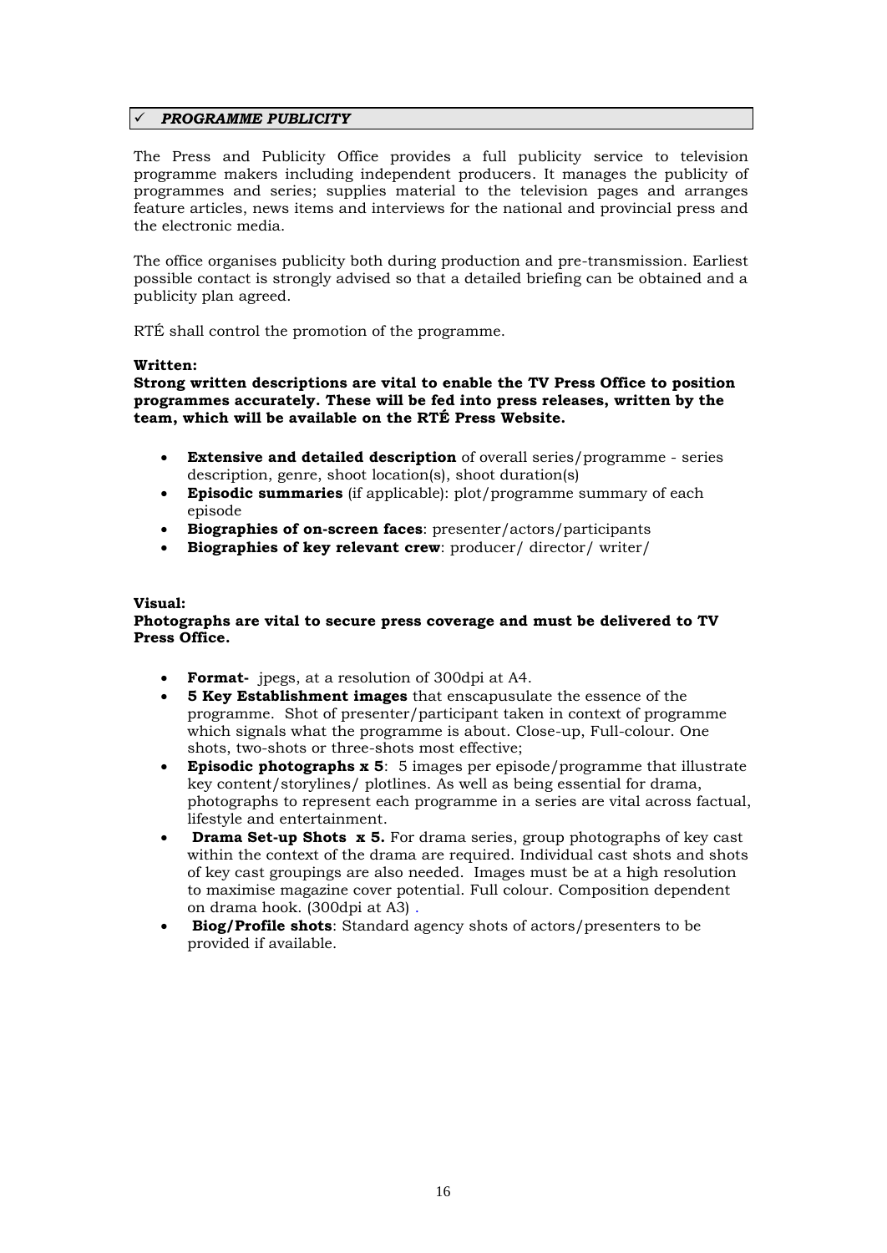#### *PROGRAMME PUBLICITY*

The Press and Publicity Office provides a full publicity service to television programme makers including independent producers. It manages the publicity of programmes and series; supplies material to the television pages and arranges feature articles, news items and interviews for the national and provincial press and the electronic media.

The office organises publicity both during production and pre-transmission. Earliest possible contact is strongly advised so that a detailed briefing can be obtained and a publicity plan agreed.

RTÉ shall control the promotion of the programme.

#### **Written:**

**Strong written descriptions are vital to enable the TV Press Office to position programmes accurately. These will be fed into press releases, written by the team, which will be available on the RTÉ Press Website.**

- **Extensive and detailed description** of overall series/programme series description, genre, shoot location(s), shoot duration(s)
- **Episodic summaries** (if applicable): plot/programme summary of each episode
- **Biographies of on-screen faces**: presenter/actors/participants
- **Biographies of key relevant crew**: producer/ director/ writer/

#### **Visual:**

#### **Photographs are vital to secure press coverage and must be delivered to TV Press Office.**

- **Format-** jpegs, at a resolution of 300dpi at A4.
- **5 Key Establishment images** that enscapusulate the essence of the programme. Shot of presenter/participant taken in context of programme which signals what the programme is about. Close-up, Full-colour. One shots, two-shots or three-shots most effective;
- **Episodic photographs x 5**: 5 images per episode/programme that illustrate key content/storylines/ plotlines. As well as being essential for drama, photographs to represent each programme in a series are vital across factual, lifestyle and entertainment.
- **Drama Set-up Shots x 5.** For drama series, group photographs of key cast within the context of the drama are required. Individual cast shots and shots of key cast groupings are also needed. Images must be at a high resolution to maximise magazine cover potential. Full colour. Composition dependent on drama hook. (300dpi at A3) .
- **Biog/Profile shots**: Standard agency shots of actors/presenters to be provided if available.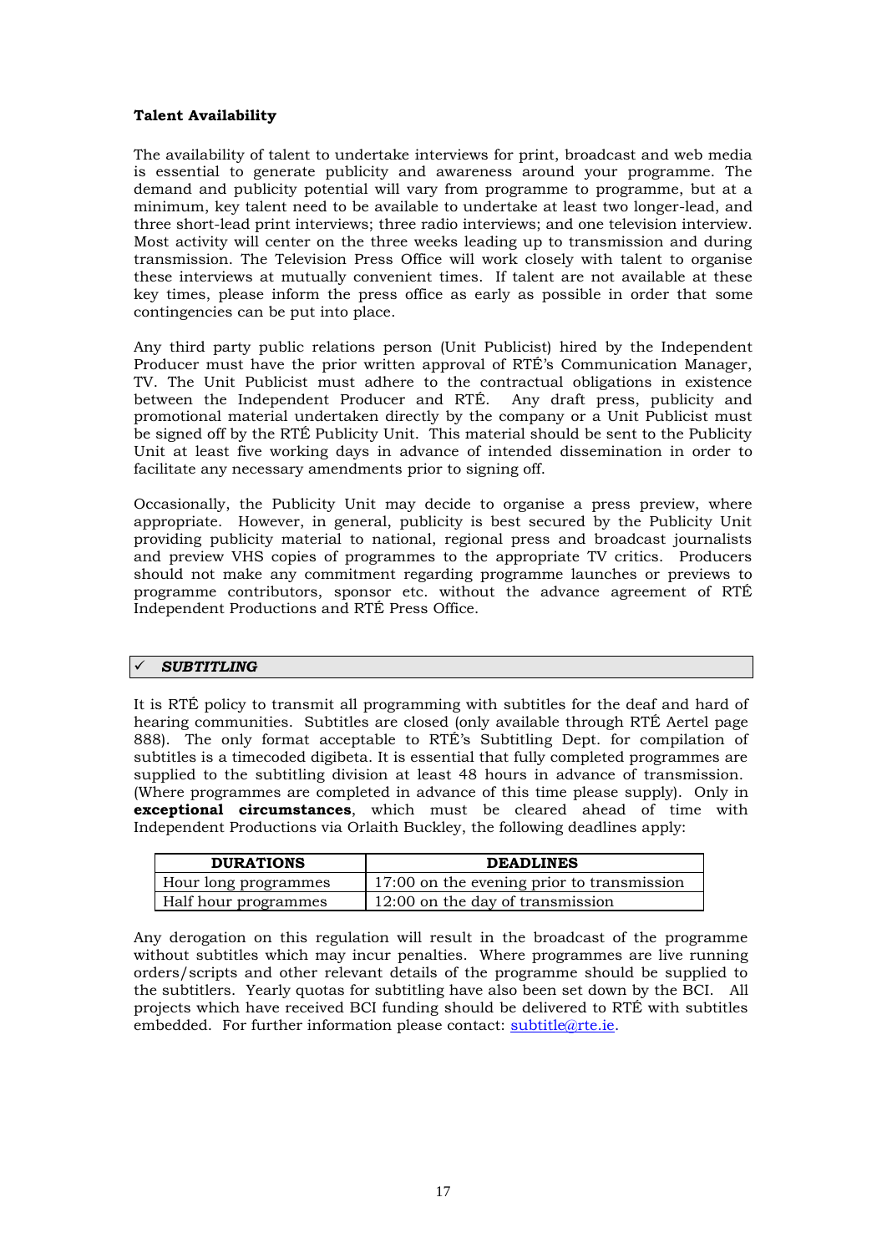#### **Talent Availability**

The availability of talent to undertake interviews for print, broadcast and web media is essential to generate publicity and awareness around your programme. The demand and publicity potential will vary from programme to programme, but at a minimum, key talent need to be available to undertake at least two longer-lead, and three short-lead print interviews; three radio interviews; and one television interview. Most activity will center on the three weeks leading up to transmission and during transmission. The Television Press Office will work closely with talent to organise these interviews at mutually convenient times. If talent are not available at these key times, please inform the press office as early as possible in order that some contingencies can be put into place.

Any third party public relations person (Unit Publicist) hired by the Independent Producer must have the prior written approval of RTÉ's Communication Manager, TV. The Unit Publicist must adhere to the contractual obligations in existence between the Independent Producer and RTÉ. Any draft press, publicity and promotional material undertaken directly by the company or a Unit Publicist must be signed off by the RTÉ Publicity Unit. This material should be sent to the Publicity Unit at least five working days in advance of intended dissemination in order to facilitate any necessary amendments prior to signing off.

Occasionally, the Publicity Unit may decide to organise a press preview, where appropriate. However, in general, publicity is best secured by the Publicity Unit providing publicity material to national, regional press and broadcast journalists and preview VHS copies of programmes to the appropriate TV critics. Producers should not make any commitment regarding programme launches or previews to programme contributors, sponsor etc. without the advance agreement of RTÉ Independent Productions and RTÉ Press Office.

#### *SUBTITLING*

It is RTÉ policy to transmit all programming with subtitles for the deaf and hard of hearing communities. Subtitles are closed (only available through RTÉ Aertel page 888). The only format acceptable to RTÉ's Subtitling Dept. for compilation of subtitles is a timecoded digibeta. It is essential that fully completed programmes are supplied to the subtitling division at least 48 hours in advance of transmission. (Where programmes are completed in advance of this time please supply). Only in **exceptional circumstances**, which must be cleared ahead of time with Independent Productions via Orlaith Buckley, the following deadlines apply:

| <b>DURATIONS</b>     | <b>DEADLINES</b>                           |  |
|----------------------|--------------------------------------------|--|
| Hour long programmes | 17:00 on the evening prior to transmission |  |
| Half hour programmes | 12:00 on the day of transmission           |  |

Any derogation on this regulation will result in the broadcast of the programme without subtitles which may incur penalties. Where programmes are live running orders/scripts and other relevant details of the programme should be supplied to the subtitlers. Yearly quotas for subtitling have also been set down by the BCI. All projects which have received BCI funding should be delivered to RTÉ with subtitles embedded. For further information please contact: [subtitle@rte.ie.](mailto:subtitle@rte.ie)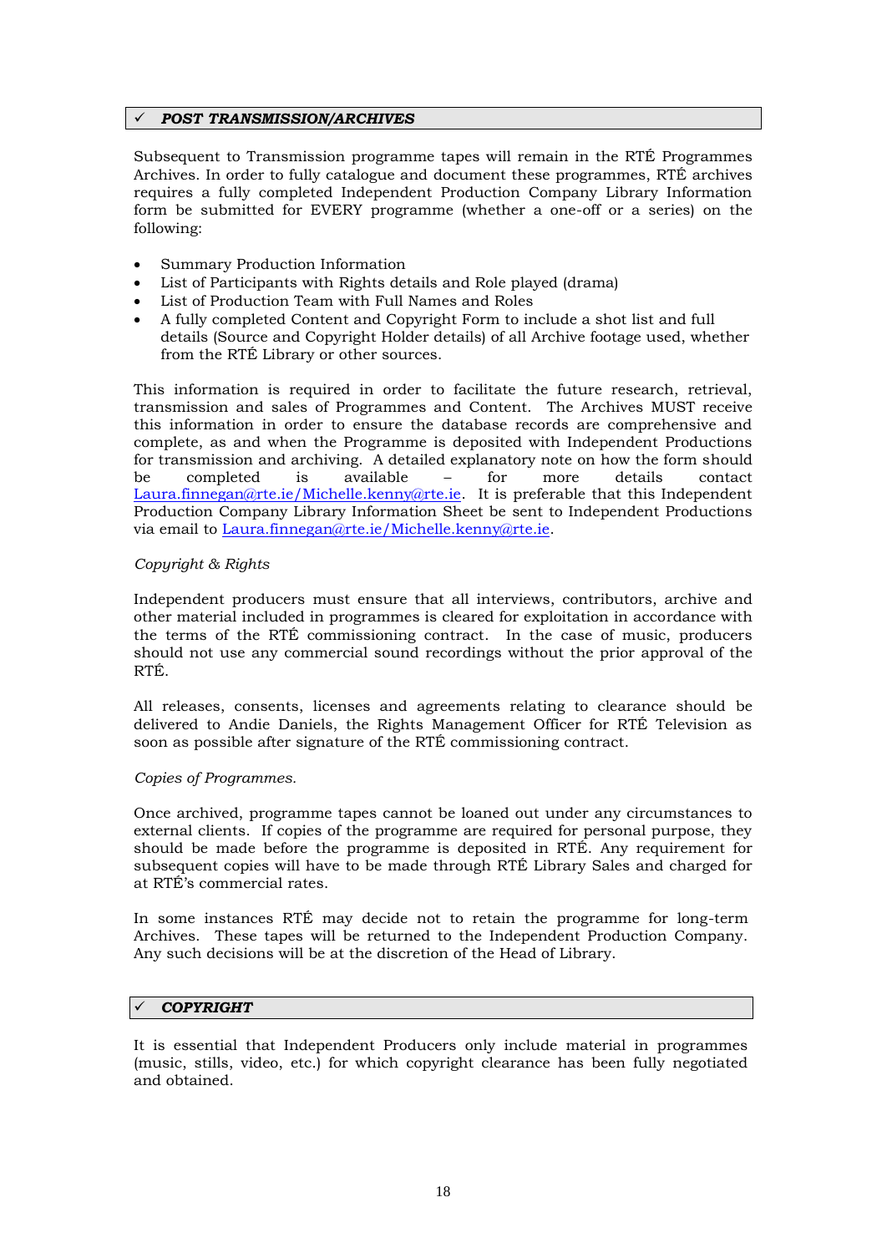#### *POST TRANSMISSION/ARCHIVES*

Subsequent to Transmission programme tapes will remain in the RTÉ Programmes Archives. In order to fully catalogue and document these programmes, RTÉ archives requires a fully completed Independent Production Company Library Information form be submitted for EVERY programme (whether a one-off or a series) on the following:

- Summary Production Information
- List of Participants with Rights details and Role played (drama)
- List of Production Team with Full Names and Roles
- A fully completed Content and Copyright Form to include a shot list and full details (Source and Copyright Holder details) of all Archive footage used, whether from the RTÉ Library or other sources.

This information is required in order to facilitate the future research, retrieval, transmission and sales of Programmes and Content. The Archives MUST receive this information in order to ensure the database records are comprehensive and complete, as and when the Programme is deposited with Independent Productions for transmission and archiving. A detailed explanatory note on how the form should be completed is available – for more details contact [Laura.finnegan@rte.ie/Michelle.kenny@rte.ie.](mailto:Laura.finnegan@rte.ie/Michelle.kenny@rte.ie) It is preferable that this Independent Production Company Library Information Sheet be sent to Independent Productions via email to [Laura.finnegan@rte.ie/Michelle.kenny@rte.ie.](mailto:Laura.finnegan@rte.ie/Michelle.kenny@rte.ie)

#### *Copyright & Rights*

Independent producers must ensure that all interviews, contributors, archive and other material included in programmes is cleared for exploitation in accordance with the terms of the RTÉ commissioning contract. In the case of music, producers should not use any commercial sound recordings without the prior approval of the RTÉ.

All releases, consents, licenses and agreements relating to clearance should be delivered to Andie Daniels, the Rights Management Officer for RTÉ Television as soon as possible after signature of the RTÉ commissioning contract.

#### *Copies of Programmes.*

Once archived, programme tapes cannot be loaned out under any circumstances to external clients. If copies of the programme are required for personal purpose, they should be made before the programme is deposited in RTÉ. Any requirement for subsequent copies will have to be made through RTÉ Library Sales and charged for at RTÉ's commercial rates.

In some instances RTÉ may decide not to retain the programme for long-term Archives. These tapes will be returned to the Independent Production Company. Any such decisions will be at the discretion of the Head of Library.

#### *COPYRIGHT*

It is essential that Independent Producers only include material in programmes (music, stills, video, etc.) for which copyright clearance has been fully negotiated and obtained.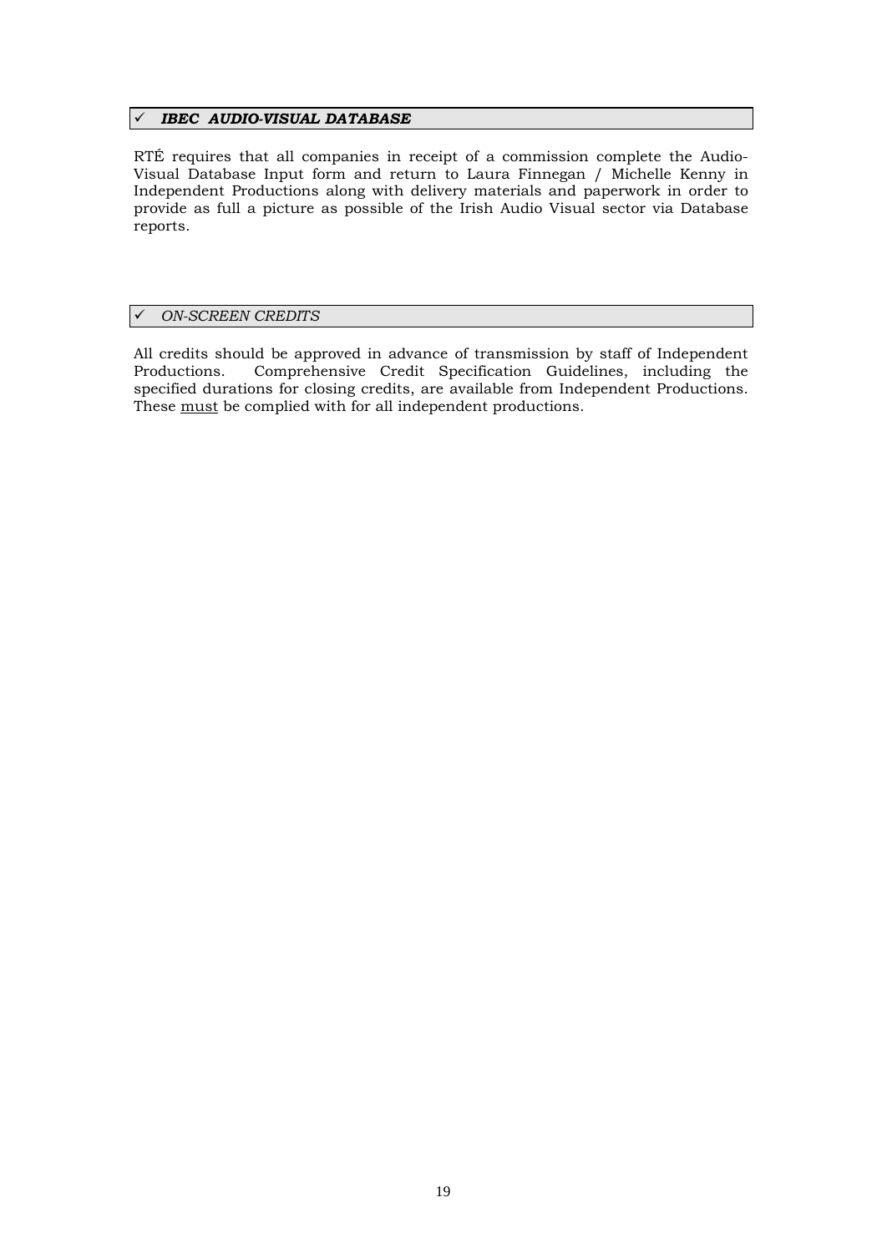#### *IBEC AUDIO-VISUAL DATABASE*

RTÉ requires that all companies in receipt of a commission complete the Audio-Visual Database Input form and return to Laura Finnegan / Michelle Kenny in Independent Productions along with delivery materials and paperwork in order to provide as full a picture as possible of the Irish Audio Visual sector via Database reports.

#### *ON-SCREEN CREDITS*

All credits should be approved in advance of transmission by staff of Independent Productions. Comprehensive Credit Specification Guidelines, including the specified durations for closing credits, are available from Independent Productions. These must be complied with for all independent productions.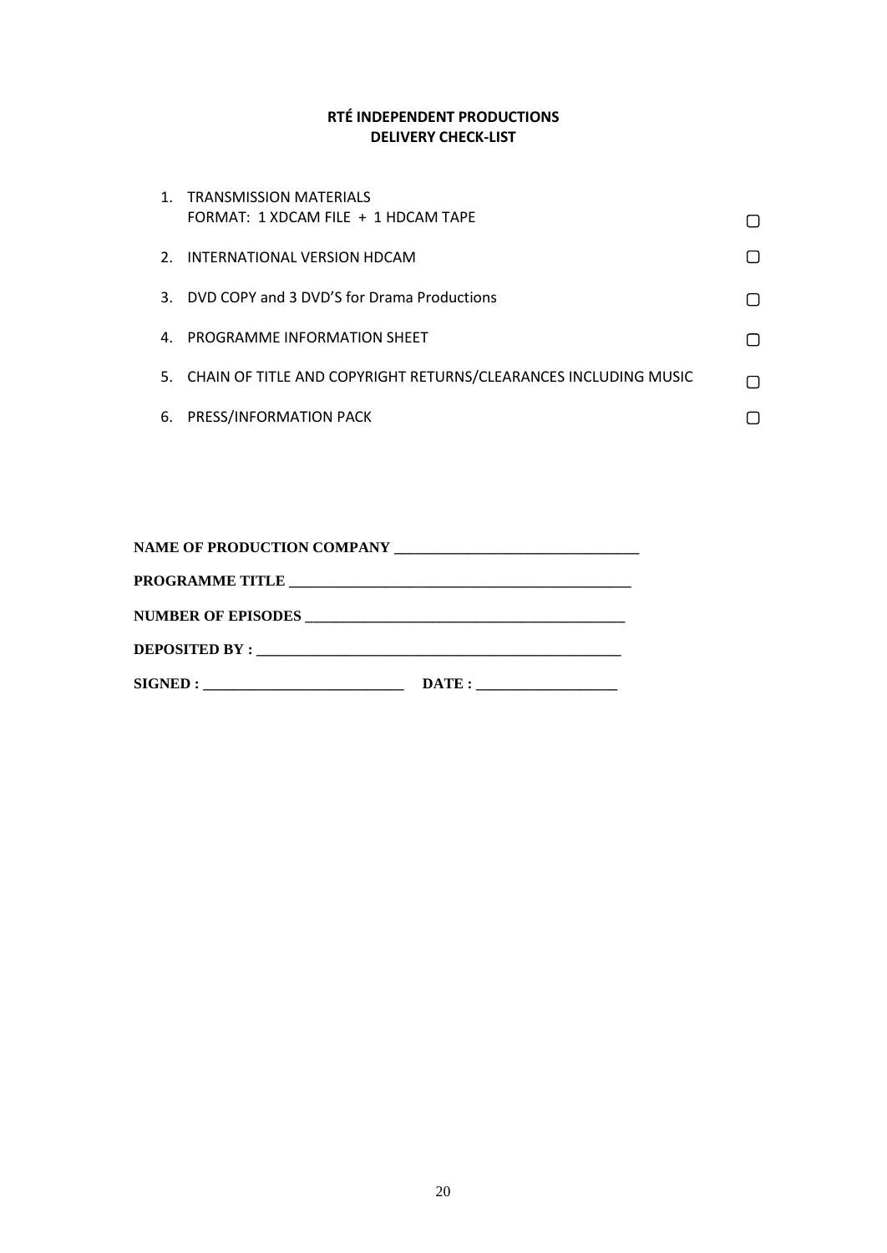#### **RTÉ INDEPENDENT PRODUCTIONS DELIVERY CHECK-LIST**

|    | 1. TRANSMISSION MATERIALS<br>FORMAT: 1 XDCAM FILE + 1 HDCAM TAPE   |  |
|----|--------------------------------------------------------------------|--|
|    | 2. INTERNATIONAL VERSION HDCAM                                     |  |
|    | 3. DVD COPY and 3 DVD'S for Drama Productions                      |  |
| 4. | <b>PROGRAMME INFORMATION SHEET</b>                                 |  |
|    | 5. CHAIN OF TITLE AND COPYRIGHT RETURNS/CLEARANCES INCLUDING MUSIC |  |
| 6. | PRESS/INFORMATION PACK                                             |  |

| SIGNED: | $\text{DATE}:$ |  |
|---------|----------------|--|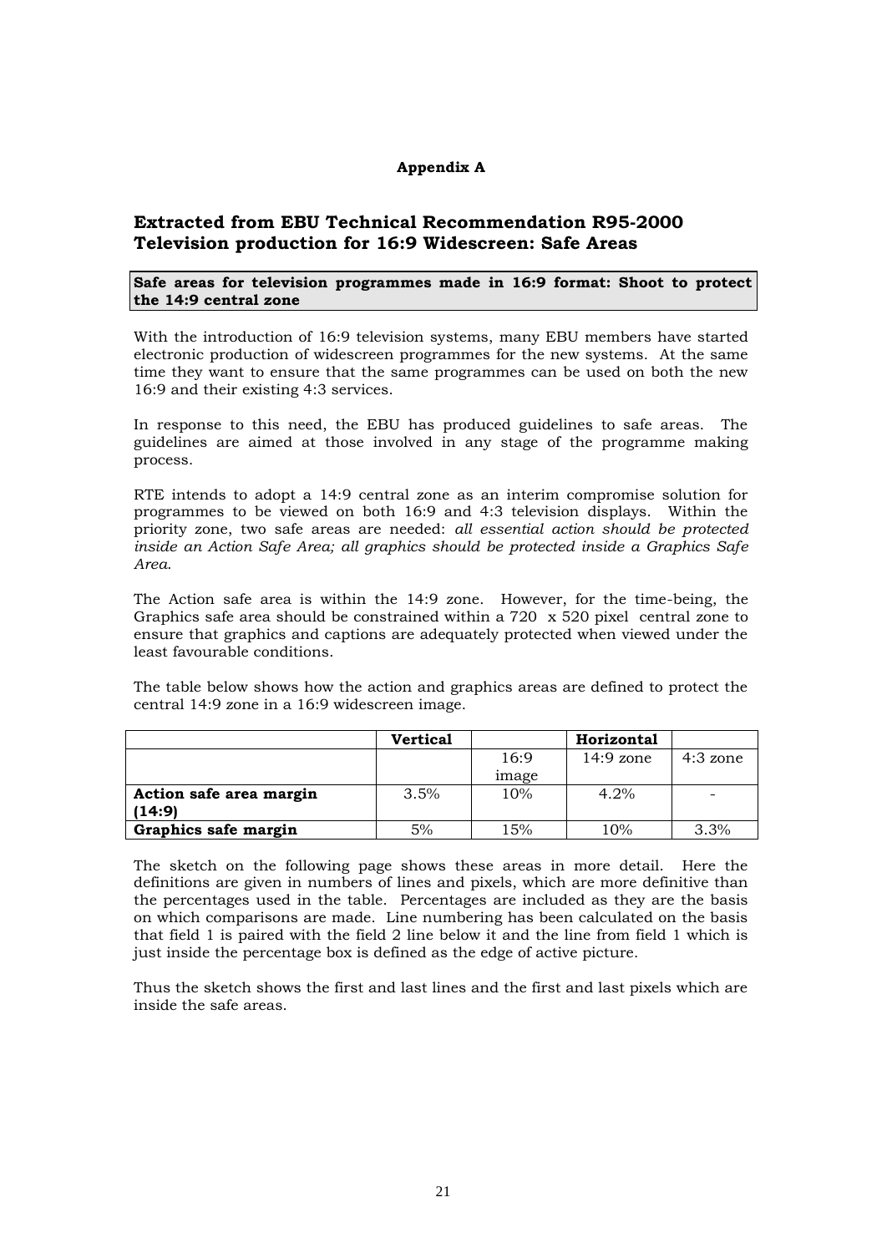#### **Appendix A**

#### **Extracted from EBU Technical Recommendation R95-2000 Television production for 16:9 Widescreen: Safe Areas**

#### **Safe areas for television programmes made in 16:9 format: Shoot to protect the 14:9 central zone**

With the introduction of 16:9 television systems, many EBU members have started electronic production of widescreen programmes for the new systems. At the same time they want to ensure that the same programmes can be used on both the new 16:9 and their existing 4:3 services.

In response to this need, the EBU has produced guidelines to safe areas. The guidelines are aimed at those involved in any stage of the programme making process.

RTE intends to adopt a 14:9 central zone as an interim compromise solution for programmes to be viewed on both 16:9 and 4:3 television displays. Within the priority zone, two safe areas are needed: *all essential action should be protected inside an Action Safe Area; all graphics should be protected inside a Graphics Safe Area*.

The Action safe area is within the 14:9 zone. However, for the time-being, the Graphics safe area should be constrained within a 720 x 520 pixel central zone to ensure that graphics and captions are adequately protected when viewed under the least favourable conditions.

The table below shows how the action and graphics areas are defined to protect the central 14:9 zone in a 16:9 widescreen image.

|                         | <b>Vertical</b> |              | Horizontal  |                          |
|-------------------------|-----------------|--------------|-------------|--------------------------|
|                         |                 | 16:9         | $14:9$ zone | $4:3$ zone               |
|                         |                 | <i>image</i> |             |                          |
| Action safe area margin | 3.5%            | 10%          | 4.2%        | $\overline{\phantom{0}}$ |
| (14:9)                  |                 |              |             |                          |
| Graphics safe margin    | 5%              | 15%          | 10%         | 3.3%                     |

The sketch on the following page shows these areas in more detail. Here the definitions are given in numbers of lines and pixels, which are more definitive than the percentages used in the table. Percentages are included as they are the basis on which comparisons are made. Line numbering has been calculated on the basis that field 1 is paired with the field 2 line below it and the line from field 1 which is just inside the percentage box is defined as the edge of active picture.

Thus the sketch shows the first and last lines and the first and last pixels which are inside the safe areas.